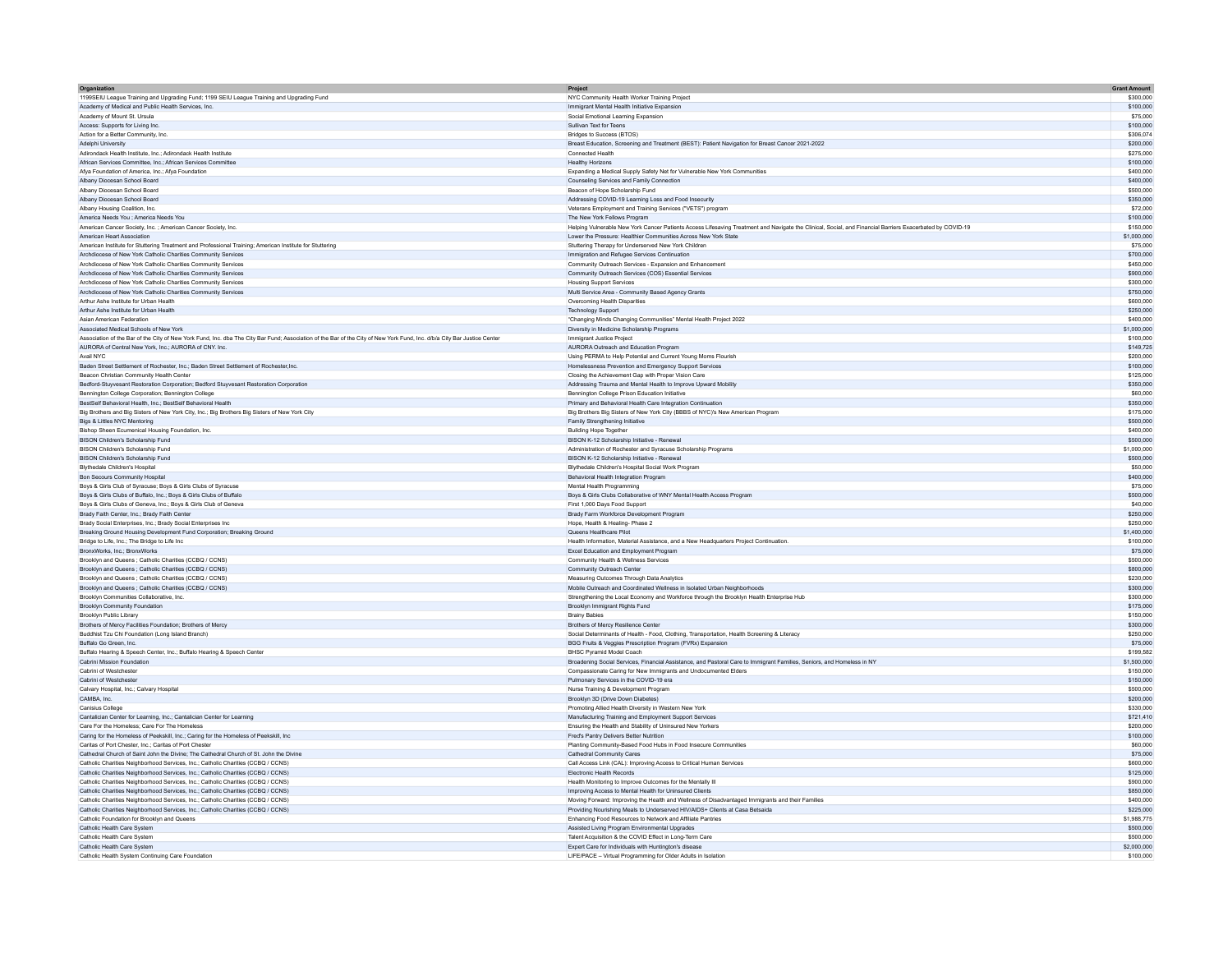| Organization                                                                                                                                                             | Project                                                                                                                                                   | <b>Grant Amount</b> |
|--------------------------------------------------------------------------------------------------------------------------------------------------------------------------|-----------------------------------------------------------------------------------------------------------------------------------------------------------|---------------------|
| 1199SEIU League Training and Upgrading Fund; 1199 SEIU League Training and Upgrading Fund                                                                                | NYC Community Health Worker Training Project                                                                                                              | \$300,000           |
| Academy of Medical and Public Health Services, Inc.                                                                                                                      | Immigrant Mental Health Initiative Expansion                                                                                                              | \$100,000           |
| Academy of Mount St. Ursula                                                                                                                                              | Social Emotional Learning Expansion                                                                                                                       | \$75,000            |
| Access: Supports for Living Inc.                                                                                                                                         | Sullivan Text for Teens                                                                                                                                   | \$100,000           |
| Action for a Better Community, Inc.                                                                                                                                      | Bridges to Success (BTOS)                                                                                                                                 | \$306.074           |
|                                                                                                                                                                          |                                                                                                                                                           | \$200,000           |
| Adelphi University<br>Adirondack Health Institute, Inc.; Adirondack Health Institute                                                                                     | Breast Education, Screening and Treatment (BEST): Patient Navigation for Breast Cancer 2021-2022<br>Connected Health                                      | \$275,000           |
|                                                                                                                                                                          |                                                                                                                                                           |                     |
| African Services Committee, Inc.; African Services Committee                                                                                                             | <b>Healthy Horizons</b>                                                                                                                                   | \$100,000           |
| Afya Foundation of America, Inc.; Afya Foundation                                                                                                                        | Expanding a Medical Supply Safety Net for Vulnerable New York Communities                                                                                 | \$400,000           |
| Albany Diocesan School Board                                                                                                                                             | Counseling Services and Family Connection                                                                                                                 | \$400,000           |
| Albany Diocesan School Board                                                                                                                                             | Beacon of Hope Scholarship Fund                                                                                                                           | \$500,000           |
| Albany Diocesan School Board                                                                                                                                             | Addressing COVID-19 Learning Loss and Food Insecurity                                                                                                     | \$350,000           |
| Albany Housing Coalition, Inc.                                                                                                                                           | Veterans Employment and Training Services ("VETS") program                                                                                                | \$72,000            |
| America Needs You : America Needs You                                                                                                                                    | The New York Fellows Program                                                                                                                              | \$100,000           |
| American Cancer Society, Inc.; American Cancer Society, Inc.                                                                                                             | Helping Vulnerable New York Cancer Patients Access Lifesaving Treatment and Navigate the Clinical, Social, and Financial Barriers Exacerbated by COVID-19 | \$150,000           |
| American Heart Association                                                                                                                                               | Lower the Pressure: Healthier Communities Across New York State                                                                                           | \$1,000,000         |
| American Institute for Stuttering Treatment and Professional Training; American Institute for Stuttering                                                                 | Stuttering Therapy for Underserved New York Children                                                                                                      | \$75,000            |
| Archdiocese of New York Catholic Charities Community Services                                                                                                            | Immigration and Refugee Services Continuation                                                                                                             | \$700,000           |
|                                                                                                                                                                          |                                                                                                                                                           |                     |
| Archdiocese of New York Catholic Charities Community Services                                                                                                            | Community Outreach Services - Expansion and Enhancement                                                                                                   | \$450,000           |
| Archdiocese of New York Catholic Charities Community Services                                                                                                            | Community Outreach Services (COS) Essential Services                                                                                                      | \$900,000           |
| Archdiocese of New York Catholic Charities Community Services                                                                                                            | <b>Housing Support Services</b>                                                                                                                           | \$300,000           |
| Archdiocese of New York Catholic Charities Community Services                                                                                                            | Multi Service Area - Community Based Agency Grants                                                                                                        | \$750,000           |
| Arthur Ashe Institute for Urban Health                                                                                                                                   | Overcoming Health Disparities                                                                                                                             | \$600,000           |
| Arthur Ashe Institute for Urban Health                                                                                                                                   | <b>Technology Support</b>                                                                                                                                 | \$250,000           |
| Asian American Federation                                                                                                                                                | "Changing Minds Changing Communities" Mental Health Project 2022                                                                                          | \$400,000           |
| Associated Medical Schools of New York                                                                                                                                   | Diversity in Medicine Scholarship Programs                                                                                                                | \$1,000,000         |
| Association of the Bar of the City of New York Fund, Inc. dba The City Bar Fund; Association of the Bar of the City of New York Fund, Inc. d/b/a City Bar Justice Center | Immigrant Justice Project                                                                                                                                 | \$100,000           |
| AURORA of Central New York, Inc.; AURORA of CNY. Inc.                                                                                                                    | AURORA Outreach and Education Program                                                                                                                     | \$149,725           |
| Avail NYC                                                                                                                                                                | Using PERMA to Help Potential and Current Young Moms Flourish                                                                                             | \$200,000           |
|                                                                                                                                                                          |                                                                                                                                                           |                     |
| Baden Street Settlement of Rochester, Inc.; Baden Street Settlement of Rochester, Inc.                                                                                   | Homelessness Prevention and Emergency Support Services                                                                                                    | \$100,000           |
| Beacon Christian Community Health Center                                                                                                                                 | Closing the Achievement Gap with Proper Vision Care                                                                                                       | \$125,000           |
| Bedford-Stuyvesant Restoration Corporation; Bedford Stuyvesant Restoration Corporation                                                                                   | Addressing Trauma and Mental Health to Improve Upward Mobility                                                                                            | \$350,000           |
| Bennington College Corporation; Bennington College                                                                                                                       | Bennington College Prison Education Initiative                                                                                                            | \$60,000            |
| BestSelf Behavioral Health, Inc.; BestSelf Behavioral Health                                                                                                             | Primary and Behavioral Health Care Integration Continuation                                                                                               | \$350,000           |
| Big Brothers and Big Sisters of New York City, Inc.; Big Brothers Big Sisters of New York City                                                                           | Big Brothers Big Sisters of New York City (BBBS of NYC)'s New American Program                                                                            | \$175,000           |
| Bigs & Littles NYC Mentoring                                                                                                                                             | Family Strengthening Initiative                                                                                                                           | \$500,000           |
| Bishop Sheen Ecumenical Housing Foundation, Inc.                                                                                                                         | Building Hope Togethe                                                                                                                                     | \$400,000           |
| BISON Children's Scholarship Fund                                                                                                                                        | BISON K-12 Scholarship Initiative - Renewal                                                                                                               | \$500,000           |
|                                                                                                                                                                          | Administration of Rochester and Syracuse Scholarship Programs                                                                                             | \$1,000,000         |
| BISON Children's Scholarship Fund                                                                                                                                        |                                                                                                                                                           |                     |
| BISON Children's Scholarship Fund                                                                                                                                        | BISON K-12 Scholarship Initiative - Renewal                                                                                                               | \$500,000           |
| Blythedale Children's Hospital                                                                                                                                           | Blythedale Children's Hospital Social Work Program                                                                                                        | \$50,000            |
| Bon Secours Community Hospital                                                                                                                                           | Behavioral Health Integration Program                                                                                                                     | \$400,000           |
| Boys & Girls Club of Syracuse: Boys & Girls Clubs of Syracuse                                                                                                            | Mental Health Programming                                                                                                                                 | \$75,000            |
| Boys & Girls Clubs of Buffalo, Inc.; Boys & Girls Clubs of Buffalo                                                                                                       | Boys & Girls Clubs Collaborative of WNY Mental Health Access Program                                                                                      | \$500,000           |
| Boys & Girls Clubs of Geneva, Inc.: Boys & Girls Club of Geneva                                                                                                          | First 1.000 Days Food Support                                                                                                                             | \$40,000            |
| Brady Faith Center, Inc.; Brady Faith Center                                                                                                                             | Brady Farm Workforce Development Program                                                                                                                  | \$250,000           |
| Brady Social Enterprises, Inc.: Brady Social Enterprises Inc.                                                                                                            | Hone, Health & Healing- Phase 2                                                                                                                           | \$250,000           |
| Breaking Ground Housing Development Fund Corporation; Breaking Ground                                                                                                    | Queens Healthcare Pilot                                                                                                                                   | \$1,400,000         |
| Bridge to Life, Inc.: The Bridge to Life Inc.                                                                                                                            |                                                                                                                                                           | \$100,000           |
|                                                                                                                                                                          | Health Information, Material Assistance, and a New Headquarters Project Continuation.                                                                     |                     |
| BronxWorks, Inc.: BronxWorks                                                                                                                                             | Excel Education and Employment Program                                                                                                                    | \$75,000            |
| Brooklyn and Queens ; Catholic Charities (CCBQ / CCNS)                                                                                                                   | Community Health & Wellness Services                                                                                                                      | \$500,000           |
| Brooklyn and Queens : Catholic Charities (CCBQ / CCNS)                                                                                                                   | Community Outreach Center                                                                                                                                 | \$800,000           |
| Brooklyn and Queens ; Catholic Charities (CCBQ / CCNS)                                                                                                                   | Measuring Outcomes Through Data Analytics                                                                                                                 | \$230,000           |
| Brooklyn and Queens ; Catholic Charities (CCBQ / CCNS)                                                                                                                   | Mobile Outreach and Coordinated Wellness in Isolated Urban Neighborhoods                                                                                  | \$300,000           |
| Brooklyn Communities Collaborative, Inc.                                                                                                                                 | Strengthening the Local Economy and Workforce through the Brooklyn Health Enterprise Hub                                                                  | \$300,000           |
| Brooklyn Community Foundation                                                                                                                                            | Brooklyn Immigrant Rights Fund                                                                                                                            | \$175,000           |
| Brooklyn Public Library                                                                                                                                                  | <b>Brainy Babies</b>                                                                                                                                      | \$150,000           |
| Brothers of Mercy Facilities Foundation; Brothers of Mercy                                                                                                               | Brothers of Mercy Resilience Center                                                                                                                       | \$300,000           |
| Buddhist Tzu Chi Foundation (Long Island Branch)                                                                                                                         | Social Determinants of Health - Food, Clothing, Transportation, Health Screening & Literacy                                                               | \$250,000           |
|                                                                                                                                                                          |                                                                                                                                                           | \$75,000            |
| Buffalo Go Green, Inc.                                                                                                                                                   | BGG Fruits & Veggies Prescription Program (FVRx) Expansion                                                                                                |                     |
| Buffalo Hearing & Speech Center, Inc.; Buffalo Hearing & Speech Center                                                                                                   | <b>BHSC Pyramid Model Coach</b>                                                                                                                           | \$199,582           |
| Cabrini Mission Foundation                                                                                                                                               | Broadening Social Services, Financial Assistance, and Pastoral Care to Immigrant Families, Seniors, and Homeless in NY                                    | \$1,500,000         |
| Cabrini of Westchester                                                                                                                                                   | Compassionate Caring for New Immigrants and Undocumented Elders                                                                                           | \$150,000           |
| Cabrini of Westchester                                                                                                                                                   | Pulmonary Services in the COVID-19 era                                                                                                                    | \$150,000           |
| Calvary Hospital, Inc.; Calvary Hospital                                                                                                                                 | Nurse Training & Development Program                                                                                                                      | \$500,000           |
| CAMBA, Inc.                                                                                                                                                              | Brooklyn 3D (Drive Down Diabetes)                                                                                                                         | \$200,000           |
| Canisius College                                                                                                                                                         | Promoting Allied Health Diversity in Western New York                                                                                                     | \$330,000           |
| Cantalician Center for Learning, Inc.; Cantalician Center for Learning                                                                                                   | Manufacturing Training and Employment Support Services                                                                                                    | \$721.410           |
| Care For the Homeless; Care For The Homeles                                                                                                                              | Ensuring the Health and Stability of Uninsured New Yorkers                                                                                                | \$200,000           |
| Caring for the Homeless of Peekskill, Inc.: Caring for the Homeless of Peekskill, Inc.                                                                                   | Fred's Pantry Delivers Better Nutrition                                                                                                                   | \$100,000           |
| Caritas of Port Chester, Inc.; Caritas of Port Chester                                                                                                                   | Planting Community-Based Food Hubs in Food Insecure Communities                                                                                           | \$60,000            |
|                                                                                                                                                                          |                                                                                                                                                           | \$75,000            |
| Cathedral Church of Saint John the Divine; The Cathedral Church of St. John the Divine                                                                                   | Cathedral Community Cares                                                                                                                                 |                     |
| Catholic Charities Neighborhood Services, Inc.; Catholic Charities (CCBQ / CCNS)                                                                                         | Call Access Link (CAL): Improving Access to Critical Human Services                                                                                       | \$600,000           |
| Catholic Charities Neighborhood Services, Inc.; Catholic Charities (CCBQ / CCNS)                                                                                         | <b>Electronic Health Records</b>                                                                                                                          | \$125,000           |
| Catholic Charities Neighborhood Services, Inc.: Catholic Charities (CCBQ / CCNS)                                                                                         | Health Monitoring to Improve Outcomes for the Mentally III                                                                                                | \$900,000           |
| Catholic Charities Neighborhood Services, Inc.; Catholic Charities (CCBQ / CCNS)                                                                                         | Improving Access to Mental Health for Uninsured Clients                                                                                                   | \$850,000           |
| Catholic Charities Neighborhood Services, Inc.: Catholic Charities (CCBQ / CCNS)                                                                                         | Moving Forward: Improving the Health and Wellness of Disadvantaged Immigrants and their Families                                                          | \$400,000           |
| Catholic Charities Neighborhood Services, Inc.; Catholic Charities (CCBQ / CCNS)                                                                                         | Providing Nourishing Meals to Underserved HIV/AIDS+ Clients at Casa Betsaida                                                                              | \$225,000           |
| Catholic Foundation for Brooklyn and Queens                                                                                                                              | Enhancing Food Resources to Network and Affiliate Pantries                                                                                                | \$1,988.775         |
| Catholic Health Care System                                                                                                                                              | Assisted Living Program Environmental Upgrades                                                                                                            | \$500,000           |
| Catholic Health Care System                                                                                                                                              |                                                                                                                                                           | \$500,000           |
|                                                                                                                                                                          | Talent Acquisition & the COVID Effect in Long-Term Care                                                                                                   |                     |
| Catholic Health Care System                                                                                                                                              | Expert Care for Individuals with Huntington's disease                                                                                                     | \$2,000,000         |
| Catholic Health System Continuing Care Foundation                                                                                                                        | LIFE/PACE - Virtual Programming for Older Adults in Isolation                                                                                             | \$100,000           |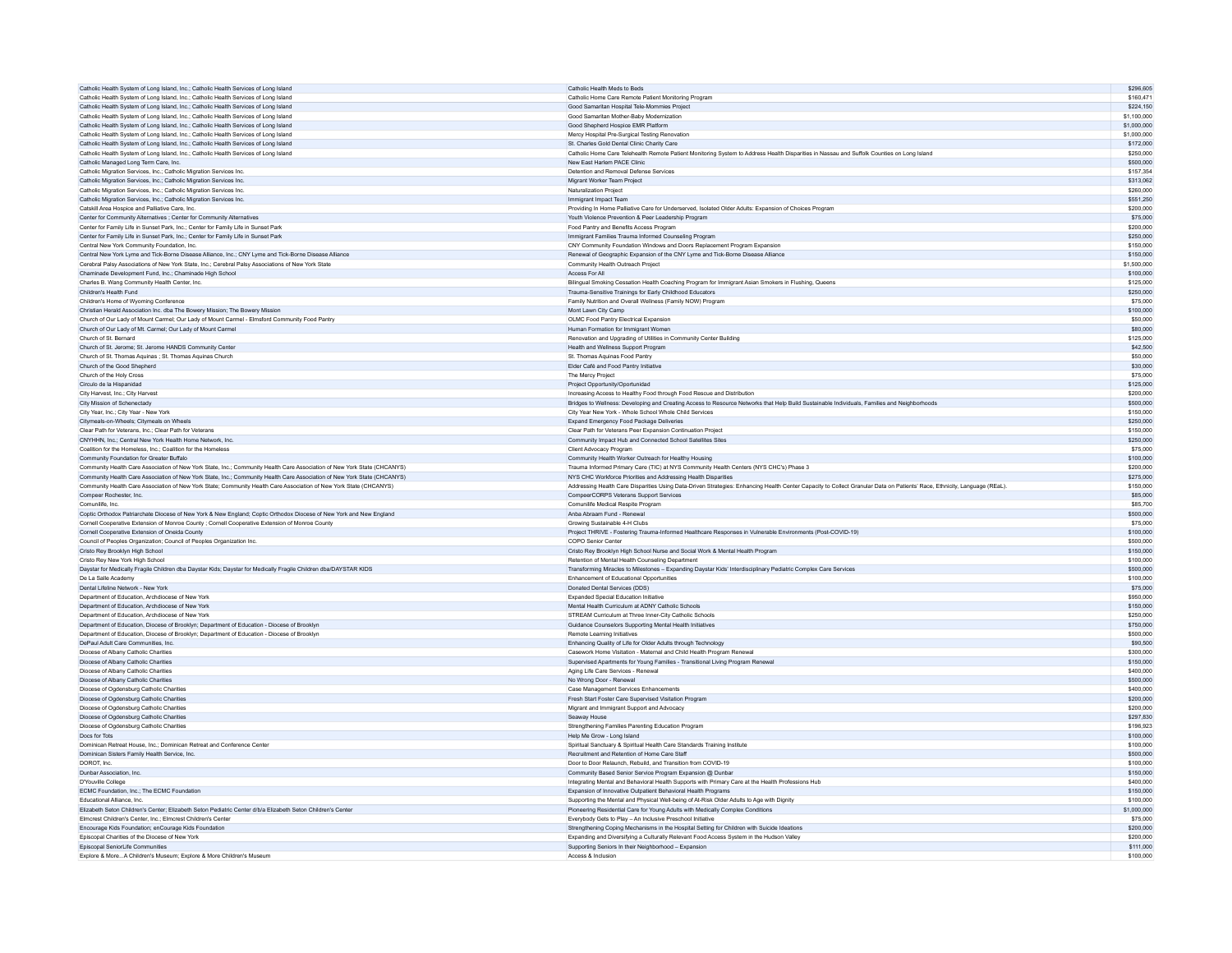| Catholic Health System of Long Island, Inc.; Catholic Health Services of Long Island                                                              | Catholic Health Meds to Beds                                                                                                                                              | \$296,605              |
|---------------------------------------------------------------------------------------------------------------------------------------------------|---------------------------------------------------------------------------------------------------------------------------------------------------------------------------|------------------------|
| Catholic Health System of Long Island, Inc.; Catholic Health Services of Long Island                                                              | Catholic Home Care Remote Patient Monitoring Program                                                                                                                      | \$160,471              |
| Catholic Health System of Long Island, Inc.; Catholic Health Services of Long Island                                                              | Good Samaritan Hospital Tele-Mommies Project                                                                                                                              | \$224 150              |
| Catholic Health System of Long Island, Inc.; Catholic Health Services of Long Island                                                              | Good Samaritan Mother-Baby Modernization                                                                                                                                  | \$1,100,000            |
| Catholic Health System of Long Island, Inc.; Catholic Health Services of Long Island                                                              | Good Shepherd Hospice EMR Platform                                                                                                                                        | \$1,000,000            |
| Catholic Health System of Long Island, Inc.: Catholic Health Services of Long Island                                                              | Mercy Hospital Pre-Surgical Testing Renovation                                                                                                                            | \$1,000,000            |
| Catholic Health System of Long Island, Inc.; Catholic Health Services of Long Island                                                              | St. Charles Gold Dental Clinic Charity Care                                                                                                                               | \$172,000              |
| Catholic Health System of Long Island, Inc.: Catholic Health Services of Long Island                                                              | Catholic Home Care Telehealth Remote Patient Monitoring System to Address Health Disparities in Nassau and Suffolk Counties on Long Island                                | \$250,000              |
| Catholic Managed Long Term Care, Inc.                                                                                                             | New East Harlem PACE Clinic                                                                                                                                               | \$500,000              |
| Catholic Migration Services, Inc.: Catholic Migration Services Inc.                                                                               | Detention and Removal Defense Services                                                                                                                                    | \$157,354              |
| Catholic Migration Services, Inc.; Catholic Migration Services Inc.                                                                               | Migrant Worker Team Project                                                                                                                                               | \$313.062              |
| Catholic Migration Services, Inc.; Catholic Migration Services Inc.                                                                               | Naturalization Project                                                                                                                                                    | \$260,000              |
| Catholic Migration Services, Inc.; Catholic Migration Services Inc.                                                                               | Immigrant Impact Team                                                                                                                                                     | \$551,250              |
| Catskill Area Hospice and Palliative Care, Inc.                                                                                                   | Providing In Home Palliative Care for Underserved, Isolated Older Adults: Expansion of Choices Program                                                                    | \$200,000              |
| Center for Community Alternatives ; Center for Community Alternatives                                                                             | Youth Violence Prevention & Peer Leadership Program                                                                                                                       | \$75,000               |
| Center for Family Life in Sunset Park, Inc.; Center for Family Life in Sunset Park                                                                | Food Pantry and Benefits Access Program                                                                                                                                   | \$200,000              |
|                                                                                                                                                   |                                                                                                                                                                           | \$250,000              |
| Center for Family Life in Sunset Park, Inc.; Center for Family Life in Sunset Park                                                                | Immigrant Families Trauma Informed Counseling Program                                                                                                                     |                        |
| Central New York Community Foundation, Inc.                                                                                                       | CNY Community Foundation Windows and Doors Replacement Program Expansion                                                                                                  | \$150,000              |
| Central New York Lyme and Tick-Borne Disease Alliance, Inc.; CNY Lyme and Tick-Borne Disease Alliance                                             | Renewal of Geographic Expansion of the CNY Lyme and Tick-Borne Disease Alliance                                                                                           | \$150,000              |
| Cerebral Palsy Associations of New York State, Inc.; Cerebral Palsy Associations of New York State                                                | Community Health Outreach Project                                                                                                                                         | \$1,500,000            |
| Chaminade Development Fund, Inc.: Chaminade High School                                                                                           | Access For All                                                                                                                                                            | \$100,000              |
| Charles B. Wang Community Health Center, Inc.                                                                                                     | Bilingual Smoking Cessation Health Coaching Program for Immigrant Asian Smokers in Flushing, Queens                                                                       | \$125,000              |
| Children's Health Fund                                                                                                                            | Trauma-Sensitive Trainings for Early Childhood Educators                                                                                                                  | \$250,000              |
| Children's Home of Wyoming Conference                                                                                                             | Family Nutrition and Overall Wellness (Family NOW) Program                                                                                                                | \$75,000               |
| Christian Herald Association Inc. dba The Bowery Mission; The Bowery Mission                                                                      | Mont Lawn City Camp                                                                                                                                                       | \$100,000              |
| Church of Our Lady of Mount Carmel: Our Lady of Mount Carmel - Elmsford Community Food Pantry                                                     | OI MC Food Pantry Flectrical Expansion                                                                                                                                    | \$50,000               |
| Church of Our Lady of Mt. Carmel; Our Lady of Mount Carmel                                                                                        | Human Formation for Immigrant Women                                                                                                                                       | \$80,000               |
| Church of St. Bernard                                                                                                                             | Renovation and Upgrading of Utilities in Community Center Building                                                                                                        | \$125,000              |
| Church of St. Jerome; St. Jerome HANDS Community Center                                                                                           | Health and Wellness Support Program                                                                                                                                       | \$42,500               |
| Church of St. Thomas Aquinas ; St. Thomas Aquinas Church                                                                                          | St Thomas Aguinas Food Panto                                                                                                                                              | \$50,000               |
| Church of the Good Shepherd                                                                                                                       | Elder Café and Food Pantry Initiative                                                                                                                                     | \$30,000               |
| Church of the Holy Cross                                                                                                                          | The Mercy Project                                                                                                                                                         | \$75,000               |
| Circulo de la Hispanidad                                                                                                                          | Project Opportunity/Oportunidad                                                                                                                                           | \$125,000              |
| City Harvest, Inc.; City Harvest                                                                                                                  | Increasing Access to Healthy Food through Food Rescue and Distribution                                                                                                    | \$200,000              |
| City Mission of Schenectady                                                                                                                       | Bridges to Wellness: Developing and Creating Access to Resource Networks that Help Build Sustainable Individuals, Families and Neighborhoods                              | \$500,000              |
|                                                                                                                                                   | City Year New York - Whole School Whole Child Services                                                                                                                    | \$150,000              |
| City Year, Inc.; City Year - New York                                                                                                             |                                                                                                                                                                           |                        |
| Citymeals-on-Wheels; Citymeals on Wheels                                                                                                          | Expand Emergency Food Package Deliveries                                                                                                                                  | \$250,000              |
| Clear Path for Veterans, Inc.: Clear Path for Veterans                                                                                            | Clear Path for Veterans Peer Expansion Continuation Project                                                                                                               | \$150,000              |
| CNYHHN, Inc.; Central New York Health Home Network, Inc.                                                                                          | Community Impact Hub and Connected School Satellites Sites                                                                                                                | \$250,000              |
| Coalition for the Homeless, Inc.; Coalition for the Homeless                                                                                      | Client Advocacy Program                                                                                                                                                   | \$75,000               |
| Community Foundation for Greater Buffalo                                                                                                          | Community Health Worker Outreach for Healthy Housing                                                                                                                      | \$100,000              |
| Community Health Care Association of New York State, Inc.: Community Health Care Association of New York State (CHCANYS)                          | Trauma Informed Primary Care (TIC) at NYS Community Health Centers (NYS CHC's) Phase 3                                                                                    | \$200,000              |
| Community Health Care Association of New York State, Inc.; Community Health Care Association of New York State (CHCANYS)                          | NYS CHC Workforce Priorities and Addressing Health Disparities                                                                                                            | \$275,000              |
| Community Health Care Association of New York State; Community Health Care Association of New York State (CHCANYS)                                | Addressing Health Care Disparities Using Data-Driven Strategies: Enhancing Health Center Capacity to Collect Granular Data on Patients' Race, Ethnicity, Language (REaL). | \$150,000              |
| Compeer Rochester, Inc.                                                                                                                           | CompeerCORPS Veterans Support Services                                                                                                                                    | \$85,000               |
|                                                                                                                                                   |                                                                                                                                                                           | \$85,700               |
| Comunilife Inc.                                                                                                                                   | Comunilife Medical Respite Program                                                                                                                                        |                        |
|                                                                                                                                                   | Anba Abraam Fund - Renewal                                                                                                                                                | \$500,000              |
| Coptic Orthodox Patriarchate Diocese of New York & New England; Coptic Orthodox Diocese of New York and New England                               | Growing Sustainable 4-H Clubs                                                                                                                                             | \$75,000               |
| Cornell Cooperative Extension of Monroe County ; Cornell Cooperative Extension of Monroe County<br>Cornell Cooperative Extension of Oneida County |                                                                                                                                                                           |                        |
|                                                                                                                                                   | Project THRIVE - Fostering Trauma-Informed Healthcare Responses in Vulnerable Environments (Post-COVID-19)                                                                | \$100,000              |
| Council of Peoples Organization; Council of Peoples Organization Inc.                                                                             | COPO Senior Center                                                                                                                                                        | \$500,000              |
| Cristo Rev Brooklyn High School                                                                                                                   | Cristo Rey Brooklyn High School Nurse and Social Work & Mental Health Program                                                                                             | \$150,000              |
| Cristo Rey New York High School                                                                                                                   | Retention of Mental Health Counseling Department                                                                                                                          | \$100,000              |
| Daystar for Medically Fragile Children dba Daystar Kids; Daystar for Medically Fragile Children dba/DAYSTAR KIDS                                  | Transforming Miracles to Milestones - Expanding Daystar Kids' Interdisciplinary Pediatric Complex Care Services                                                           | \$500,000              |
| De La Salle Academy                                                                                                                               | Enhancement of Educational Opportunities                                                                                                                                  | \$100,000              |
| Dental Lifeline Network - New York                                                                                                                | Donated Dental Services (DDS)                                                                                                                                             | \$75,000               |
| Department of Education, Archdiocese of New York                                                                                                  | Expanded Special Education Initiative                                                                                                                                     | \$950,000              |
| Department of Education, Archdiocese of New York                                                                                                  | Mental Health Curriculum at ADNY Catholic Schools                                                                                                                         | \$150,000              |
| Denartment of Education Archdiocese of New York                                                                                                   | STREAM Curriculum at Three Inner-City Catholic Schools                                                                                                                    | \$250,000              |
| Department of Education, Diocese of Brooklyn; Department of Education - Diocese of Brooklyn                                                       | Guidance Counselors Supporting Mental Health Initiatives                                                                                                                  | \$750,000              |
| Department of Education, Diocese of Brooklyn; Department of Education - Diocese of Brooklyn                                                       | Remote Learning Initiatives                                                                                                                                               | \$500,000              |
| DePaul Adult Care Communities, Inc.                                                                                                               | Enhancing Quality of Life for Older Adults through Technology                                                                                                             | \$90,500               |
| Diocese of Albany Catholic Charities                                                                                                              | Casework Home Visitation - Maternal and Child Health Program Renewal                                                                                                      | \$300,000              |
| Diocese of Albany Catholic Charities                                                                                                              | Supervised Apartments for Young Families - Transitional Living Program Renewal                                                                                            | \$150,000              |
| Diocese of Albany Catholic Charities                                                                                                              | Aging Life Care Services - Renewal                                                                                                                                        | \$400,000              |
| Diocese of Albany Catholic Charities                                                                                                              | No Wrong Door - Renewal                                                                                                                                                   | \$500,000              |
| Diocese of Ogdensburg Catholic Charities                                                                                                          | Case Management Services Enhancements                                                                                                                                     | \$400,000              |
| Diocese of Ogdensburg Catholic Charities                                                                                                          | Fresh Start Foster Care Supervised Visitation Program                                                                                                                     | \$200,000              |
| Diocese of Ogdensburg Catholic Charities                                                                                                          | Migrant and Immigrant Support and Advocacy                                                                                                                                | \$200,000              |
| Diocese of Ogdensburg Catholic Charities                                                                                                          | Seaway House                                                                                                                                                              | \$297.830              |
| Diocese of Ogdensburg Catholic Charities                                                                                                          | Strengthening Families Parenting Education Program                                                                                                                        | \$196,923              |
| Docs for Tots                                                                                                                                     | Help Me Grow - Long Island                                                                                                                                                | \$100,000              |
| Dominican Retreat House, Inc.; Dominican Retreat and Conference Center                                                                            | Spiritual Sanctuary & Spiritual Health Care Standards Training Institute                                                                                                  | \$100,000              |
|                                                                                                                                                   |                                                                                                                                                                           | \$500,000              |
| Dominican Sisters Family Health Service, Inc.<br>DOROT, Inc.                                                                                      | Recruitment and Retention of Home Care Staff<br>Door to Door Relaunch, Rebuild, and Transition from COVID-19                                                              | \$100,000              |
|                                                                                                                                                   |                                                                                                                                                                           |                        |
| Dunbar Association, Inc.<br>D'Youville College                                                                                                    | Community Based Senior Service Program Expansion @ Dunbar<br>Integrating Mental and Behavioral Health Supports with Primary Care at the Health Professions Hub            | \$150,000<br>\$400,000 |
|                                                                                                                                                   |                                                                                                                                                                           | \$150,000              |
| ECMC Foundation, Inc.; The ECMC Foundation<br>Educational Alliance Inc.                                                                           | Expansion of Innovative Outpatient Behavioral Health Programs                                                                                                             | \$100,000              |
|                                                                                                                                                   | Supporting the Mental and Physical Well-being of At-Risk Older Adults to Age with Dignity                                                                                 |                        |
| Elizabeth Seton Children's Center; Elizabeth Seton Pediatric Center d/b/a Elizabeth Seton Children's Center                                       | Pioneering Residential Care for Young Adults with Medically Complex Conditions                                                                                            | \$1,000,000            |
| Elmcrest Children's Center, Inc.: Elmcrest Children's Cente                                                                                       | Everybody Gets to Play - An Inclusive Preschool Initiative                                                                                                                | \$75,000               |
| Encourage Kids Foundation; enCourage Kids Foundation                                                                                              | Strengthening Coping Mechanisms in the Hospital Setting for Children with Suicide Ideations                                                                               | \$200,000              |
| Episcopal Charities of the Diocese of New York                                                                                                    | Expanding and Diversifying a Culturally Relevant Food Access System in the Hudson Valley                                                                                  | \$200,000              |
| Enisconal Seniorl ife Communities<br>Explore & MoreA Children's Museum; Explore & More Children's Museum                                          | Supporting Seniors In their Neighborhood - Expansion<br>Access & Inclusion                                                                                                | \$111,000<br>\$100,000 |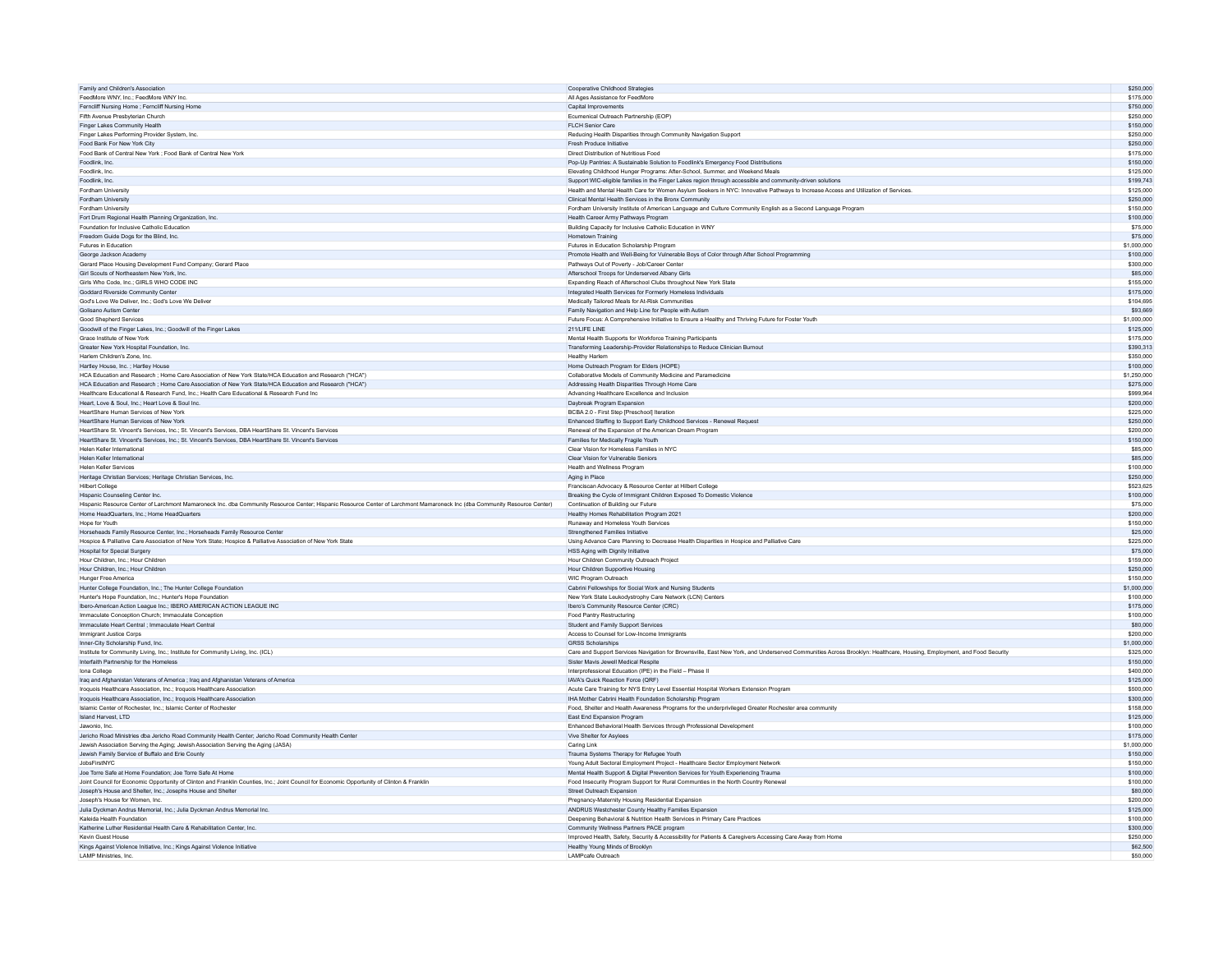| Family and Children's Association                                                                                                                                         | Cooperative Childhood Strategies                                                                                                                                     | \$250,000              |
|---------------------------------------------------------------------------------------------------------------------------------------------------------------------------|----------------------------------------------------------------------------------------------------------------------------------------------------------------------|------------------------|
| FeedMore WNY, Inc.: FeedMore WNY Inc.                                                                                                                                     | All Ages Assistance for FeedMore                                                                                                                                     | \$175,000              |
| Ferncliff Nursing Home ; Ferncliff Nursing Home                                                                                                                           | Capital Improvements                                                                                                                                                 | \$750,000              |
| Fifth Avenue Presbyterian Church                                                                                                                                          | Ecumenical Outreach Partnership (EOP)                                                                                                                                | \$250,000              |
|                                                                                                                                                                           |                                                                                                                                                                      |                        |
| Finger Lakes Community Health                                                                                                                                             | FLCH Senior Care                                                                                                                                                     | \$150,000<br>\$250,000 |
| Finger Lakes Performing Provider System, Inc.                                                                                                                             | Reducing Health Disparities through Community Navigation Support                                                                                                     |                        |
| Food Bank For New York City                                                                                                                                               | Fresh Produce Initiative                                                                                                                                             | \$250,000              |
| Food Bank of Central New York ; Food Bank of Central New York                                                                                                             | Direct Distribution of Nutritious Food                                                                                                                               | \$175,000              |
| Foodlink, Inc.                                                                                                                                                            | Pop-Up Pantries: A Sustainable Solution to Foodlink's Emergency Food Distributions                                                                                   | \$150,000              |
| Foodlink Inc.                                                                                                                                                             | Elevating Childhood Hunger Programs: After-School, Summer, and Weekend Meals                                                                                         | \$125,000              |
| Foodlink, Inc.                                                                                                                                                            | Support WIC-eligible families in the Finger Lakes region through accessible and community-driven solutions                                                           | \$199,743              |
| Fordham University                                                                                                                                                        | Health and Mental Health Care for Women Asylum Seekers in NYC: Innovative Pathways to Increase Access and Utilization of Services                                    | \$125,000              |
| Fordham University                                                                                                                                                        | Clinical Mental Health Services in the Bronx Community                                                                                                               | \$250,000              |
| Fordham University                                                                                                                                                        | Fordham University Institute of American Language and Culture Community English as a Second Language Program                                                         | \$150,000              |
| Fort Drum Regional Health Planning Organization, Inc.                                                                                                                     | Health Career Army Pathways Program                                                                                                                                  | \$100,000              |
|                                                                                                                                                                           |                                                                                                                                                                      |                        |
| Foundation for Inclusive Catholic Education                                                                                                                               | Building Capacity for Inclusive Catholic Education in WNY                                                                                                            | \$75,000               |
| Freedom Guide Dogs for the Blind, Inc.                                                                                                                                    | Hometown Training                                                                                                                                                    | \$75,000               |
| Futures in Education                                                                                                                                                      | Futures in Education Scholarship Program                                                                                                                             | \$1,000,000            |
| George Jackson Academy                                                                                                                                                    | Promote Health and Well-Being for Vulnerable Boys of Color through After School Programming                                                                          | \$100,000              |
| Gerard Place Housing Development Fund Company: Gerard Place                                                                                                               | Pathways Out of Poverty - Job/Career Center                                                                                                                          | \$300,000              |
| Girl Scouts of Northeastern New York, Inc.                                                                                                                                | Afterschool Troops for Underserved Albany Girls                                                                                                                      | \$85,000               |
| Girls Who Code, Inc.; GIRLS WHO CODE INC                                                                                                                                  | Expanding Reach of Afterschool Clubs throughout New York State                                                                                                       | \$155,000              |
| Goddard Riverside Community Center                                                                                                                                        | Integrated Health Services for Formerly Homeless Individuals                                                                                                         | \$175,000              |
| God's Love We Deliver Inc.: God's Love We Deliver                                                                                                                         | Medically Tailored Meals for At-Risk Communities                                                                                                                     | \$104,695              |
| Golisano Autism Center                                                                                                                                                    | Family Navigation and Help Line for People with Autism                                                                                                               | \$93,669               |
|                                                                                                                                                                           |                                                                                                                                                                      |                        |
| Good Shepherd Services                                                                                                                                                    | Future Focus: A Comprehensive Initiative to Ensure a Healthy and Thriving Future for Foster Youth                                                                    | \$1,000,000            |
| Goodwill of the Finger Lakes, Inc.; Goodwill of the Finger Lakes                                                                                                          | 211/LIFE LINE                                                                                                                                                        | \$125,000              |
| Grace Institute of New York                                                                                                                                               | Mental Health Supports for Workforce Training Participants                                                                                                           | \$175,000              |
| Greater New York Hospital Foundation, Inc.                                                                                                                                | Transforming Leadership-Provider Relationships to Reduce Clinician Burnout                                                                                           | \$390.313              |
| Harlem Children's Zone, Inc.                                                                                                                                              | <b>Healthy Harlen</b>                                                                                                                                                | \$350,000              |
| Hartley House, Inc. : Hartley House                                                                                                                                       | Home Outreach Program for Elders (HOPE)                                                                                                                              | \$100,000              |
| HCA Education and Research ; Home Care Association of New York State/HCA Education and Research ("HCA")                                                                   | Collaborative Models of Community Medicine and Paramedicine                                                                                                          | \$1,250,000            |
| HCA Education and Research : Home Care Association of New York State/HCA Education and Research ("HCA")                                                                   | Addressing Health Disparities Through Home Care                                                                                                                      | \$275,000              |
| Healthcare Educational & Research Fund, Inc.; Health Care Educational & Research Fund Inc                                                                                 | Advancing Healthcare Excellence and Inclusion                                                                                                                        | \$999,964              |
| Heart Love & Soul, Inc.: Heart Love & Soul Inc.                                                                                                                           | Daybreak Program Expansion                                                                                                                                           | \$200,000              |
|                                                                                                                                                                           |                                                                                                                                                                      |                        |
| HeartShare Human Services of New York                                                                                                                                     | BCBA 2.0 - First Step [Preschool] Iteration                                                                                                                          | \$225,000              |
| HeartShare Human Services of New York                                                                                                                                     | Enhanced Staffing to Support Early Childhood Services - Renewal Request                                                                                              | \$250,000              |
| HeartShare St. Vincent's Services, Inc.; St. Vincent's Services, DBA HeartShare St. Vincent's Services                                                                    | Renewal of the Expansion of the American Dream Program                                                                                                               | \$200,000              |
| HeartShare St. Vincent's Services, Inc.; St. Vincent's Services, DBA HeartShare St. Vincent's Services                                                                    | Families for Medically Fragile Youth                                                                                                                                 | \$150,000              |
| Helen Keller International                                                                                                                                                | Clear Vision for Homeless Families in NYC                                                                                                                            | \$85,000               |
| Helen Keller International                                                                                                                                                | Clear Vision for Vulnerable Seniors                                                                                                                                  | \$85,000               |
| Helen Keller Services                                                                                                                                                     | Health and Wellness Program                                                                                                                                          | \$100,000              |
| Heritage Christian Services; Heritage Christian Services, Inc.                                                                                                            | Aging in Place                                                                                                                                                       | \$250,000              |
| Hilbert College                                                                                                                                                           | Franciscan Advocacy & Resource Center at Hilbert College                                                                                                             | \$523.625              |
|                                                                                                                                                                           |                                                                                                                                                                      |                        |
|                                                                                                                                                                           |                                                                                                                                                                      |                        |
| Hispanic Counseling Center Inc.                                                                                                                                           | Breaking the Cycle of Immigrant Children Exposed To Domestic Violence                                                                                                | \$100,000              |
| Hispanic Resource Center of Larchmont Mamaroneck Inc. dba Community Resource Center: Hispanic Resource Center of Larchmont Mamaroneck Inc (dba Community Resource Center) | Continuation of Building our Future                                                                                                                                  | \$75,000               |
| Home HeadQuarters, Inc.; Home HeadQuarters                                                                                                                                | Healthy Homes Rehabilitation Program 2021                                                                                                                            | \$200,000              |
| Hope for Youth                                                                                                                                                            | <b>Runaway and Homeless Youth Services</b>                                                                                                                           | \$150,000              |
| Horseheads Family Resource Center, Inc.; Horseheads Family Resource Center                                                                                                | Strengthened Families Initiative                                                                                                                                     | \$25,000               |
| Hospice & Palliative Care Association of New York State; Hospice & Palliative Association of New York State                                                               | Using Advance Care Planning to Decrease Health Disparities in Hospice and Palliative Care                                                                            | \$225,000              |
| <b>Hospital for Special Surgery</b>                                                                                                                                       | HSS Aging with Dignity Initiative                                                                                                                                    | \$75,000               |
|                                                                                                                                                                           |                                                                                                                                                                      |                        |
| Hour Children, Inc.: Hour Children<br>Hour Children, Inc.: Hour Children                                                                                                  | Hour Children Community Outreach Project<br>Hour Children Supportive Housing                                                                                         | \$159,000<br>\$250,000 |
|                                                                                                                                                                           |                                                                                                                                                                      |                        |
| Hunger Free America                                                                                                                                                       | WIC Program Outreach                                                                                                                                                 | \$150,000              |
| Hunter College Foundation, Inc.; The Hunter College Foundation                                                                                                            | Cabrini Fellowships for Social Work and Nursing Students                                                                                                             | \$1,000,000            |
| Hunter's Hope Foundation, Inc.: Hunter's Hope Foundation                                                                                                                  | New York State Leukodystrophy Care Network (LCN) Centers                                                                                                             | \$100,000              |
| Ibero-American Action League Inc.; IBERO AMERICAN ACTION LEAGUE INC                                                                                                       | Ibero's Community Resource Center (CRC)                                                                                                                              | \$175,000              |
| Immaculate Conception Church: Immaculate Conception                                                                                                                       | Food Pantry Restructuring                                                                                                                                            | \$100,000              |
| Immaculate Heart Central ; Immaculate Heart Central                                                                                                                       | Student and Family Support Services                                                                                                                                  | \$80,000               |
| Immigrant Justice Corps                                                                                                                                                   | Access to Counsel for Low-Income Immigrants                                                                                                                          | \$200,000              |
| Inner-City Scholarship Fund, Inc.                                                                                                                                         | <b>GRSS Scholarships</b>                                                                                                                                             | \$1,000,000            |
|                                                                                                                                                                           |                                                                                                                                                                      | \$325,000              |
| Institute for Community Living, Inc.; Institute for Community Living, Inc. (ICL)                                                                                          | Care and Support Services Navigation for Brownsville, East New York, and Underserved Communities Across Brooklyn: Healthcare, Housing, Employment, and Food Security |                        |
| Interfaith Partnership for the Homeless                                                                                                                                   | Sister Mavis Jewell Medical Respite                                                                                                                                  | \$150,000              |
| Iona College                                                                                                                                                              | Interprofessional Education (IPE) in the Field - Phase II                                                                                                            | \$400,000              |
| Irag and Afghanistan Veterans of America : Irag and Afghanistan Veterans of America                                                                                       | IAVA's Quick Reaction Force (QRF)                                                                                                                                    | \$125,000              |
| Iroquois Healthcare Association, Inc.; Iroquois Healthcare Association                                                                                                    | Acute Care Training for NYS Entry Level Essential Hospital Workers Extension Program                                                                                 | \$500,000              |
| Iroquois Healthcare Association, Inc.; Iroquois Healthcare Association                                                                                                    | IHA Mother Cabrini Health Foundation Scholarship Program                                                                                                             | \$300,000              |
| Islamic Center of Rochester, Inc.; Islamic Center of Rochester                                                                                                            | Food, Shelter and Health Awareness Programs for the underprivileged Greater Rochester area community                                                                 | \$158,000              |
| Island Harvest ITD                                                                                                                                                        | <b>Fast End Exnansion Program</b>                                                                                                                                    | \$125,000              |
| Jawonio, Inc.                                                                                                                                                             | Enhanced Behavioral Health Services through Professional Development                                                                                                 | \$100,000              |
| Jericho Road Ministries dba Jericho Road Community Health Center; Jericho Road Community Health Center                                                                    | Vive Shelter for Asylees                                                                                                                                             | \$175,000              |
|                                                                                                                                                                           | Caring Link                                                                                                                                                          | \$1,000,000            |
| Jewish Association Serving the Aging; Jewish Association Serving the Aging (JASA)                                                                                         |                                                                                                                                                                      | \$150,000              |
| Jewish Family Service of Buffalo and Erie County                                                                                                                          | Trauma Systems Therapy for Refugee Youth                                                                                                                             |                        |
| JobsFirstNYC                                                                                                                                                              | Young Adult Sectoral Employment Project - Healthcare Sector Employment Network                                                                                       | \$150,000              |
| Joe Torre Safe at Home Foundation; Joe Torre Safe At Home                                                                                                                 | Mental Health Support & Digital Prevention Services for Youth Experiencing Trauma                                                                                    | \$100,000              |
| Joint Council for Economic Opportunity of Clinton and Franklin Counties, Inc.; Joint Council for Economic Opportunity of Clinton & Franklin                               | Food Insecurity Program Support for Rural Communties in the North Country Renewal                                                                                    | \$100,000              |
| Joseph's House and Shelter, Inc.; Josephs House and Shelter                                                                                                               | Street Outreach Expansion                                                                                                                                            | \$80,000               |
| Joseph's House for Women Inc.                                                                                                                                             | Pregnancy-Maternity Housing Residential Expansion                                                                                                                    | \$200,000              |
| Julia Dyckman Andrus Memorial, Inc.; Julia Dyckman Andrus Memorial Inc.                                                                                                   | ANDRUS Westchester County Healthy Families Expansion                                                                                                                 | \$125,000              |
| Kaleida Health Foundation                                                                                                                                                 | Deepening Behavioral & Nutrition Health Services in Primary Care Practices                                                                                           | \$100,000              |
| Katherine Luther Residential Health Care & Rehabilitation Center, Inc.                                                                                                    | Community Wellness Partners PACE program                                                                                                                             | \$300,000              |
| Kevin Guest House                                                                                                                                                         |                                                                                                                                                                      | \$250,000              |
|                                                                                                                                                                           | Improved Health, Safety, Security & Accessibility for Patients & Caregivers Accessing Care Away from Home                                                            | \$62,500               |
| Kings Against Violence Initiative, Inc.; Kings Against Violence Initiative<br>LAMP Ministries, Inc.                                                                       | Healthy Young Minds of Brooklyn<br>LAMPcafe Outreach                                                                                                                 | \$50,000               |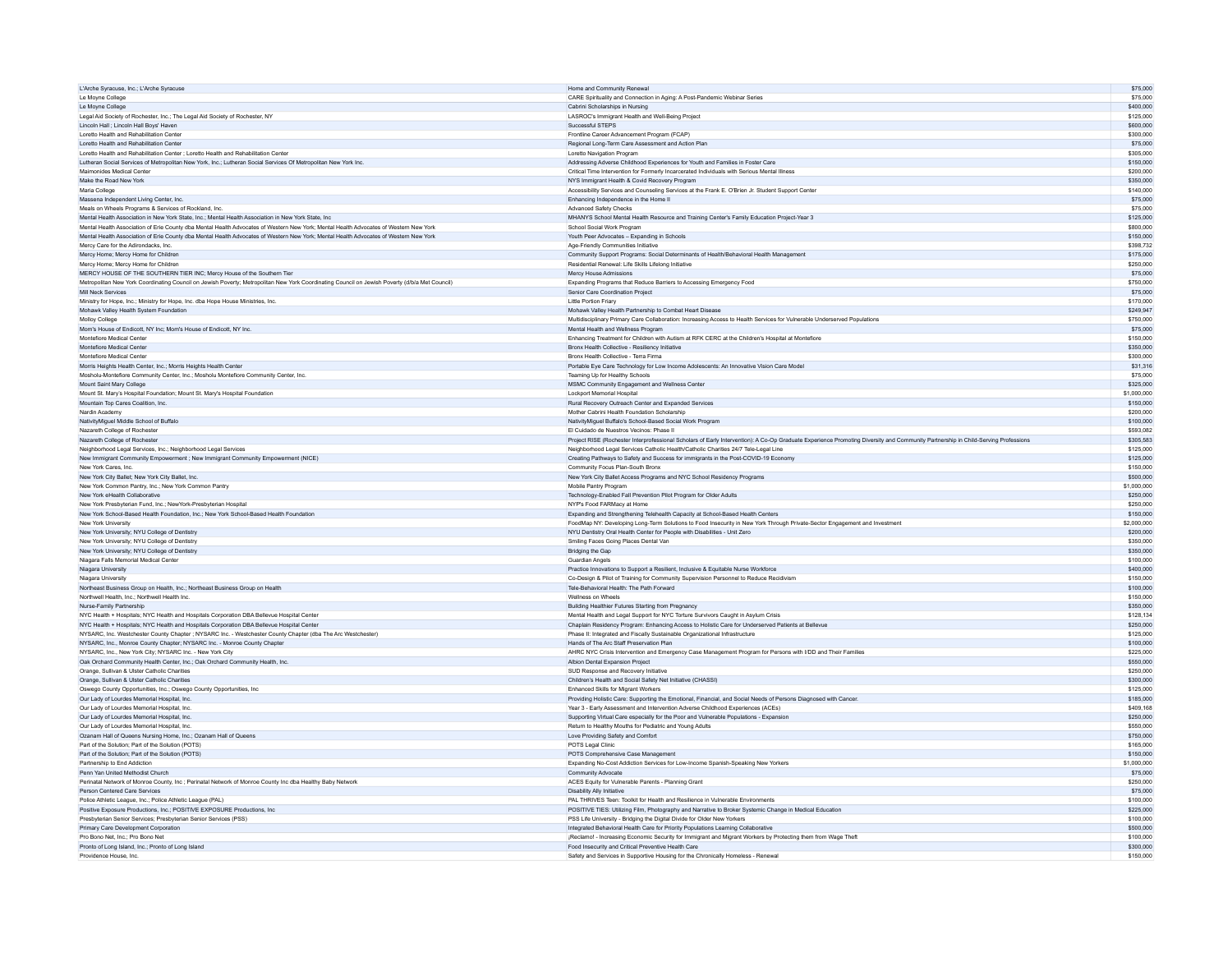| L'Arche Syracuse, Inc.: L'Arche Syracuse                                                                                                       | Home and Community Renewal                                                                                                                                                        | \$75,000               |
|------------------------------------------------------------------------------------------------------------------------------------------------|-----------------------------------------------------------------------------------------------------------------------------------------------------------------------------------|------------------------|
| Le Moyne College                                                                                                                               | CARE Spirituality and Connection in Aging: A Post-Pandemic Webinar Series                                                                                                         | \$75,000               |
| Le Movne College                                                                                                                               | Cabrini Scholarships in Nursing                                                                                                                                                   | \$400,000              |
| Legal Aid Society of Rochester, Inc.; The Legal Aid Society of Rochester, NY                                                                   | LASROC's Immigrant Health and Well-Being Project                                                                                                                                  | \$125,000              |
|                                                                                                                                                |                                                                                                                                                                                   |                        |
| Lincoln Hall ; Lincoln Hall Boys' Haven                                                                                                        | Successful STEPS                                                                                                                                                                  | \$600,000              |
| Loretto Health and Rehabilitation Center                                                                                                       | Frontline Career Advancement Program (FCAP)                                                                                                                                       | \$300,000              |
| Loretto Health and Rehabilitation Center                                                                                                       | Regional Long-Term Care Assessment and Action Plan                                                                                                                                | \$75,000               |
| Loretto Health and Rehabilitation Center ; Loretto Health and Rehabilitation Center                                                            | Loretto Navigation Program                                                                                                                                                        | \$305,000              |
| Lutheran Social Services of Metropolitan New York, Inc.; Lutheran Social Services Of Metropolitan New York Inc.                                | Addressing Adverse Childhood Experiences for Youth and Families in Foster Care                                                                                                    | \$150,000              |
| Maimonides Medical Center                                                                                                                      | Critical Time Intervention for Formerly Incarcerated Individuals with Serious Mental Illness                                                                                      | \$200,000              |
| Make the Road New York                                                                                                                         | NYS Immigrant Health & Covid Recovery Program                                                                                                                                     | \$350,000              |
| Maria College                                                                                                                                  | Accessibility Services and Counseling Services at the Frank E. O'Brien Jr. Student Support Center                                                                                 | \$140,000              |
| Massena Independent Living Center, Inc.                                                                                                        | Enhancing Independence in the Home II                                                                                                                                             | \$75,000               |
| Meals on Wheels Programs & Services of Rockland, Inc.                                                                                          | Advanced Safety Checks                                                                                                                                                            | \$75,000               |
|                                                                                                                                                |                                                                                                                                                                                   |                        |
| Mental Health Association in New York State, Inc.; Mental Health Association in New York State, Inc                                            | MHANYS School Mental Health Resource and Training Center's Family Education Project-Year 3                                                                                        | \$125,000              |
| Mental Health Association of Erie County dba Mental Health Advocates of Western New York; Mental Health Advocates of Western New York          | School Social Work Program                                                                                                                                                        | \$800,000              |
| Mental Health Association of Erie County dba Mental Health Advocates of Western New York; Mental Health Advocates of Western New York          | Youth Peer Advocates - Expanding in Schools                                                                                                                                       | \$150,000              |
| Mercy Care for the Adirondacks, Inc.                                                                                                           | Age-Friendly Communities Initiative                                                                                                                                               | \$398,732              |
| Mercy Home; Mercy Home for Children                                                                                                            | Community Support Programs: Social Determinants of Health/Behavioral Health Management                                                                                            | \$175,000              |
| Mercy Home; Mercy Home for Children                                                                                                            | Residential Renewal: Life Skills Lifelong Initiative                                                                                                                              | \$250,000              |
| MERCY HOUSE OF THE SOUTHERN TIER INC; Mercy House of the Southern Tier                                                                         | Mercy House Admissions                                                                                                                                                            | \$75,000               |
| Metropolitan New York Coordinating Council on Jewish Poverty; Metropolitan New York Coordinating Council on Jewish Poverty (d/b/a Met Council) | Expanding Programs that Reduce Barriers to Accessing Emergency Food                                                                                                               | \$750,000              |
|                                                                                                                                                |                                                                                                                                                                                   |                        |
| <b>Mill Neck Services</b>                                                                                                                      | Senior Care Coordination Project                                                                                                                                                  | \$75,000               |
| Ministry for Hope, Inc.: Ministry for Hope, Inc. dba Hope House Ministries, Inc.                                                               | Little Portion Friary                                                                                                                                                             | \$170,000              |
| Mohawk Valley Health System Foundation                                                                                                         | Mohawk Valley Health Partnership to Combat Heart Disease                                                                                                                          | \$249,947              |
| Molloy College                                                                                                                                 | Multidisciplinary Primary Care Collaboration: Increasing Access to Health Services for Vulnerable Underserved Populations                                                         | \$750,000              |
| Mom's House of Endicott, NY Inc; Mom's House of Endicott, NY Inc.                                                                              | Mental Health and Wellness Program                                                                                                                                                | \$75,000               |
| Montefiore Medical Center                                                                                                                      | Enhancing Treatment for Children with Autism at RFK CERC at the Children's Hospital at Montefiore                                                                                 | \$150,000              |
| Montefiore Medical Center                                                                                                                      | Bronx Health Collective - Resiliency Initiative                                                                                                                                   | \$350,000              |
|                                                                                                                                                |                                                                                                                                                                                   |                        |
| Montefiore Medical Center                                                                                                                      | Bronx Health Collective - Terra Firma                                                                                                                                             | \$300,000              |
| Morris Heights Health Center, Inc.; Morris Heights Health Center                                                                               | Portable Eye Care Technology for Low Income Adolescents: An Innovative Vision Care Model                                                                                          | \$31,316               |
| Mosholu-Montefiore Community Center, Inc.; Mosholu Montefiore Community Center, Inc.                                                           | Teaming Up for Healthy Schools                                                                                                                                                    | \$75,000               |
| Mount Saint Mary College                                                                                                                       | MSMC Community Engagement and Wellness Center                                                                                                                                     | \$325,000              |
| Mount St. Mary's Hospital Foundation; Mount St. Mary's Hospital Foundation                                                                     | Lockport Memorial Hospital                                                                                                                                                        | \$1,000,000            |
| Mountain Top Cares Coalition, Inc.                                                                                                             | Rural Recovery Outreach Center and Expanded Services                                                                                                                              | \$150,000              |
| Nardin Academy                                                                                                                                 | Mother Cabrini Health Foundation Scholarship                                                                                                                                      | \$200,000              |
|                                                                                                                                                | NativityMiquel Buffalo's School-Based Social Work Program                                                                                                                         |                        |
| NativityMiguel Middle School of Buffalo                                                                                                        |                                                                                                                                                                                   | \$100,000              |
| Nazareth College of Rochester                                                                                                                  | El Cuidado de Nuestros Vecinos: Phase II                                                                                                                                          | \$593.082              |
| Nazareth College of Rochester                                                                                                                  | Project RISE (Rochester Interprofessional Scholars of Early Intervention): A Co-Op Graduate Experience Promoting Diversity and Community Partnership in Child-Serving Professions | \$305,583              |
| Neighborhood Legal Services, Inc.; Neighborhood Legal Services                                                                                 | Neighborhood Legal Services Catholic Health/Catholic Charities 24/7 Tele-Legal Line                                                                                               | \$125,000              |
| New Immigrant Community Empowerment ; New Immigrant Community Empowerment (NICE)                                                               | Creating Pathways to Safety and Success for immigrants in the Post-COVID-19 Economy                                                                                               | \$125,000              |
| New York Cares, Inc.                                                                                                                           | Community Focus Plan-South Bronx                                                                                                                                                  | \$150,000              |
|                                                                                                                                                |                                                                                                                                                                                   |                        |
|                                                                                                                                                |                                                                                                                                                                                   |                        |
| New York City Ballet; New York City Ballet, Inc.                                                                                               | New York City Ballet Access Programs and NYC School Residency Programs                                                                                                            | \$500,000              |
| New York Common Pantry, Inc.; New York Common Pantry                                                                                           | Mobile Pantry Program                                                                                                                                                             | \$1,000,000            |
| New York eHealth Collaborative                                                                                                                 | Technology-Enabled Fall Prevention Pilot Program for Older Adults                                                                                                                 | \$250,000              |
| New York Presbyterian Fund, Inc.: NewYork-Presbyterian Hospital                                                                                | NYP's Food FARMacy at Home                                                                                                                                                        | \$250,000              |
| New York School-Based Health Foundation, Inc.; New York School-Based Health Foundation                                                         | Expanding and Strengthening Telehealth Capacity at School-Based Health Centers                                                                                                    | \$150,000              |
| New York University                                                                                                                            | FoodMap NY: Developing Long-Term Solutions to Food Insecurity in New York Through Private-Sector Engagement and Investment                                                        | \$2,000,000            |
|                                                                                                                                                | NYU Dentistry Oral Health Center for People with Disabilities - Unit Zero                                                                                                         | \$200,000              |
|                                                                                                                                                |                                                                                                                                                                                   | \$350,000              |
| New York University; NYU College of Dentistry<br>New York University; NYU College of Dentistry                                                 | Smiling Faces Going Places Dental Van                                                                                                                                             | \$350,000              |
| New York University; NYU College of Dentistry                                                                                                  | Bridging the Gap                                                                                                                                                                  |                        |
| Niagara Falls Memorial Medical Center                                                                                                          | Guardian Angels                                                                                                                                                                   | \$100,000              |
| Niagara University                                                                                                                             | Practice Innovations to Support a Resilient, Inclusive & Equitable Nurse Workforce                                                                                                | \$400,000              |
| Niagara University                                                                                                                             | Co-Design & Pilot of Training for Community Supervision Personnel to Reduce Recidivism                                                                                            | \$150,000              |
| Northeast Business Group on Health, Inc.; Northeast Business Group on Health                                                                   | Tele-Behavioral Health: The Path Forward                                                                                                                                          | \$100,000              |
| Northwell Health, Inc.; Northwell Health Inc.                                                                                                  | Wellness on Wheel                                                                                                                                                                 | \$150,000              |
| Nurse-Family Partnership                                                                                                                       | Building Healthier Futures Starting from Pregnancy                                                                                                                                | \$350,000              |
| NYC Health + Hospitals; NYC Health and Hospitals Corporation DBA Bellevue Hospital Center                                                      | Mental Health and Legal Support for NYC Torture Survivors Caught in Asylum Crisis                                                                                                 | \$128,134              |
| NYC Health + Hospitals; NYC Health and Hospitals Corporation DBA Bellevue Hospital Center                                                      | Chaplain Residency Program: Enhancing Access to Holistic Care for Underserved Patients at Bellevue                                                                                | \$250,000              |
| NYSARC, Inc. Westchester County Chapter ; NYSARC Inc. - Westchester County Chapter (dba The Arc Westchester)                                   | Phase II: Integrated and Fiscally Sustainable Organizational Infrastructure                                                                                                       | \$125,000              |
|                                                                                                                                                |                                                                                                                                                                                   |                        |
| NYSARC, Inc., Monroe County Chapter; NYSARC Inc. - Monroe County Chapter                                                                       | Hands of The Arc Staff Preservation Plan                                                                                                                                          | \$100,000              |
| NYSARC, Inc., New York City: NYSARC Inc. - New York City                                                                                       | AHRC NYC Crisis Intervention and Emergency Case Management Program for Persons with I/DD and Their Families                                                                       | \$225,000              |
| Oak Orchard Community Health Center, Inc.; Oak Orchard Community Health, Inc.                                                                  | Albion Dental Expansion Project                                                                                                                                                   | \$550,000              |
| Orange, Sullivan & Ulster Catholic Charities                                                                                                   | SUD Response and Recovery Initiative                                                                                                                                              | \$250,000              |
| Orange, Sullivan & Ulster Catholic Charities                                                                                                   | Children's Health and Social Safety Net Initiative (CHASSI)                                                                                                                       | \$300,000              |
| Oswego County Opportunities, Inc.; Oswego County Opportunities, Inc.                                                                           | Enhanced Skills for Migrant Workers                                                                                                                                               | \$125,000              |
| Our Lady of Lourdes Memorial Hospital, Inc.                                                                                                    | Providing Holistic Care: Supporting the Emotional, Financial, and Social Needs of Persons Diagnosed with Cancer.                                                                  | \$185,000              |
| Our Lady of Lourdes Memorial Hospital, Inc.                                                                                                    | Year 3 - Early Assessment and Intervention Adverse Childhood Experiences (ACEs)                                                                                                   | \$409.168              |
|                                                                                                                                                |                                                                                                                                                                                   |                        |
| Our Lady of Lourdes Memorial Hospital, Inc.                                                                                                    | Supporting Virtual Care especially for the Poor and Vulnerable Populations - Expansion                                                                                            | \$250,000              |
| Our Lady of Lourdes Memorial Hospital, Inc.                                                                                                    | Return to Healthy Mouths for Pediatric and Young Adults                                                                                                                           | \$550,000              |
| Ozanam Hall of Queens Nursing Home, Inc.; Ozanam Hall of Queens                                                                                | Love Providing Safety and Comfort                                                                                                                                                 | \$750,000              |
| Part of the Solution; Part of the Solution (POTS)                                                                                              | POTS Legal Clinic                                                                                                                                                                 | \$165,000              |
| Part of the Solution: Part of the Solution (POTS)                                                                                              | POTS Comprehensive Case Management                                                                                                                                                | \$150,000              |
| Partnership to End Addiction                                                                                                                   | Expanding No-Cost Addiction Services for Low-Income Spanish-Speaking New Yorkers                                                                                                  | \$1,000,000            |
| Penn Yan United Methodist Church                                                                                                               | Community Advocate                                                                                                                                                                | \$75,000               |
| Perinatal Network of Monroe County, Inc : Perinatal Network of Monroe County Inc dba Healthy Baby Network                                      | ACES Equity for Vulnerable Parents - Planning Grant                                                                                                                               | \$250,000              |
| Person Centered Care Services                                                                                                                  |                                                                                                                                                                                   | \$75,000               |
|                                                                                                                                                | Disability Ally Initiative                                                                                                                                                        | \$100,000              |
| Police Athletic League, Inc.; Police Athletic League (PAL)                                                                                     | PAL THRIVES Teen: Toolkit for Health and Resilience in Vulnerable Environments                                                                                                    |                        |
| Positive Exposure Productions, Inc.; POSITIVE EXPOSURE Productions, Inc.                                                                       | POSITIVE TIES: Utilizing Film, Photography and Narrative to Broker Systemic Change in Medical Education                                                                           | \$225,000              |
| Presbyterian Senior Services; Presbyterian Senior Services (PSS)                                                                               | PSS Life University - Bridging the Digital Divide for Older New Yorkers                                                                                                           | \$100,000              |
| Primary Care Development Corporation                                                                                                           | Integrated Behavioral Health Care for Priority Populations Learning Collaborative                                                                                                 | \$500,000              |
| Pro Bono Net, Inc.; Pro Bono Net                                                                                                               | ¡Reclamo! - Increasing Economic Security for Immigrant and Migrant Workers by Protecting them from Wage Theft                                                                     | \$100,000              |
| Pronto of Long Island, Inc.; Pronto of Long Island<br>Providence House, Inc.                                                                   | Food Insecurity and Critical Preventive Health Care<br>Safety and Services in Supportive Housing for the Chronically Homeless - Renewal                                           | \$300,000<br>\$150,000 |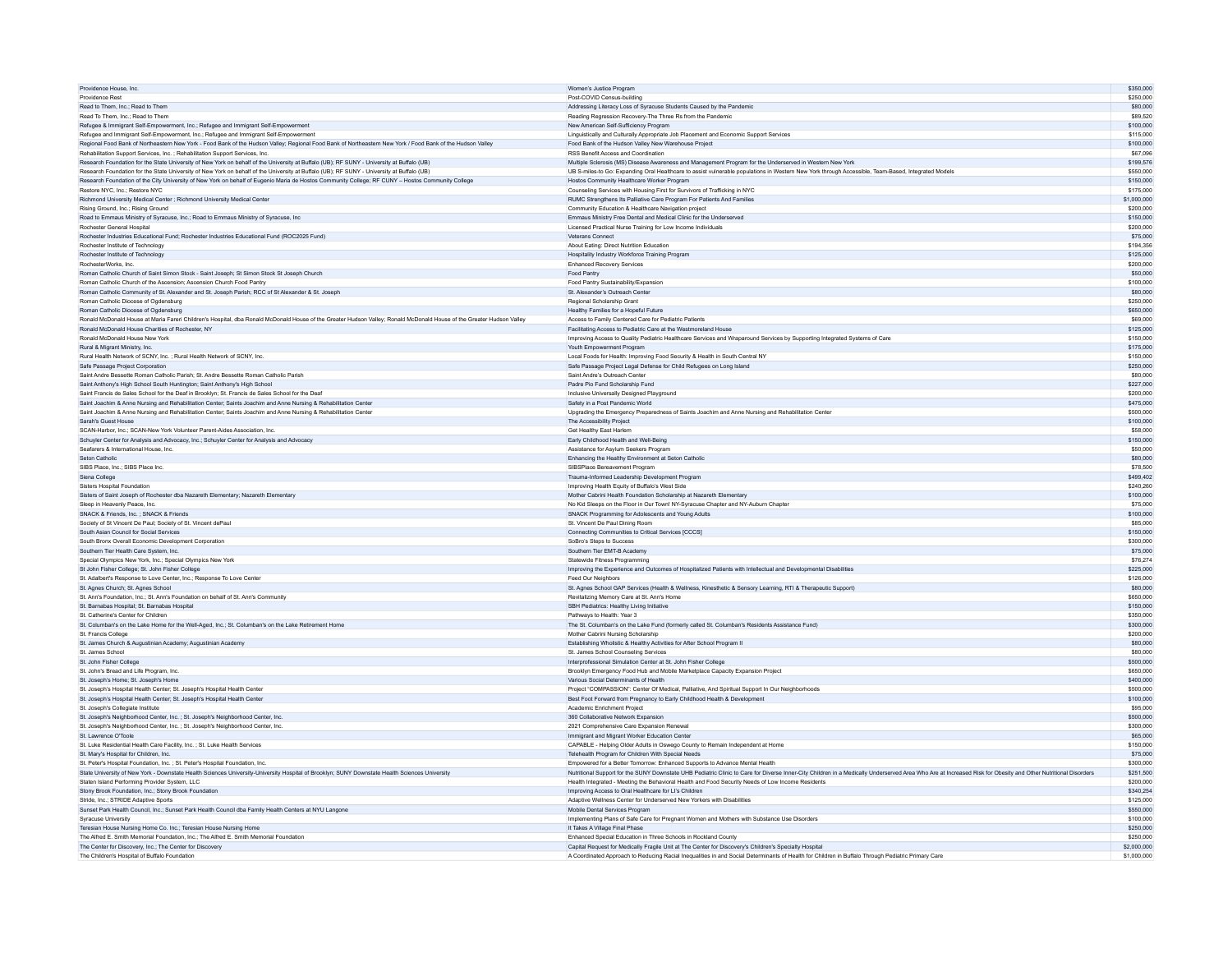| Providence House Inc.                                                                                                                                                 | Women's Justice Program                                                                                                                                                                                       | \$350,000             |
|-----------------------------------------------------------------------------------------------------------------------------------------------------------------------|---------------------------------------------------------------------------------------------------------------------------------------------------------------------------------------------------------------|-----------------------|
| Providence Rest                                                                                                                                                       | Post-COVID Census-building                                                                                                                                                                                    | \$250,000             |
| Read to Them Inc : Read to Them                                                                                                                                       | Addressing Literacy Loss of Syracuse Students Caused by the Pandemic                                                                                                                                          | \$80,000              |
| Read To Them, Inc.: Read to Them                                                                                                                                      | Reading Regression Recovery-The Three Rs from the Pandemic                                                                                                                                                    | \$89,520              |
| Refugee & Immigrant Self-Empowerment, Inc.; Refugee and Immigrant Self-Empowerment                                                                                    | New American Self-Sufficiency Program                                                                                                                                                                         | \$100,000             |
| Refugee and Immigrant Self-Empowerment, Inc.; Refugee and Immigrant Self-Empowerment                                                                                  | Linguistically and Culturally Appropriate Job Placement and Economic Support Services                                                                                                                         | \$115,000             |
| Regional Food Bank of Northeastern New York - Food Bank of the Hudson Valley; Regional Food Bank of Northeastern New York / Food Bank of the Hudson Valley            | Food Bank of the Hudson Valley New Warehouse Project                                                                                                                                                          | \$100,000             |
| Rehabilitation Support Services, Inc. ; Rehabilitation Support Services, Inc.                                                                                         | RSS Benefit Access and Coordination                                                                                                                                                                           | \$67,096              |
| Research Foundation for the State University of New York on behalf of the University at Buffalo (UB); RF SUNY - University at Buffalo (UB)                            | Multiple Sclerosis (MS) Disease Awareness and Management Program for the Underserved in Western New York                                                                                                      | \$199,576             |
| Research Foundation for the State University of New York on behalf of the University at Buffalo (UB); RF SUNY - University at Buffalo (UB)                            | UB S-miles-to Go: Expanding Oral Healthcare to assist vulnerable populations in Western New York through Accessible, Team-Based, Integrated Models                                                            | \$550,000             |
| Research Foundation of the City University of New York on behalf of Eugenio Maria de Hostos Community College; RF CUNY - Hostos Community College                     | Hostos Community Healthcare Worker Program                                                                                                                                                                    | \$150,000             |
| Restore NYC Inc : Restore NYC                                                                                                                                         | Counseling Services with Housing First for Survivors of Trafficking in NYC                                                                                                                                    | \$175,000             |
| Richmond University Medical Center ; Richmond University Medical Center                                                                                               | RUMC Strengthens Its Palliative Care Program For Patients And Families                                                                                                                                        | \$1,000,000           |
| Rising Ground, Inc.; Rising Ground                                                                                                                                    | Community Education & Healthcare Navigation project                                                                                                                                                           | \$200,000             |
| Road to Emmaus Ministry of Syracuse, Inc.; Road to Emmaus Ministry of Syracuse, Inc.                                                                                  | Emmaus Ministry Free Dental and Medical Clinic for the Underserved                                                                                                                                            | \$150,000             |
| Rochester General Hospital                                                                                                                                            | Licensed Practical Nurse Training for Low Income Individuals                                                                                                                                                  | \$200,000             |
| Rochester Industries Educational Fund; Rochester Industries Educational Fund (ROC2025 Fund)                                                                           | Veterans Connect                                                                                                                                                                                              | \$75,000              |
| Rochester Institute of Technology                                                                                                                                     | About Eating: Direct Nutrition Education                                                                                                                                                                      | \$194,356             |
| Rochester Institute of Technology                                                                                                                                     | Hospitality Industry Workforce Training Program                                                                                                                                                               | \$125,000             |
|                                                                                                                                                                       | Enhanced Recovery Services                                                                                                                                                                                    | \$200,000             |
| RochesterWorks, Inc.<br>Roman Catholic Church of Saint Simon Stock - Saint Joseph; St Simon Stock St Joseph Church                                                    | Food Pantry                                                                                                                                                                                                   | \$50,000              |
|                                                                                                                                                                       |                                                                                                                                                                                                               |                       |
| Roman Catholic Church of the Ascension; Ascension Church Food Pantry                                                                                                  | Food Pantry Sustainability/Expansion<br>St. Alexander's Outreach Center                                                                                                                                       | \$100,000<br>\$80,000 |
| Roman Catholic Community of St. Alexander and St. Joseph Parish; RCC of St Alexander & St. Joseph                                                                     |                                                                                                                                                                                                               |                       |
| Roman Catholic Diocese of Ogdensburg                                                                                                                                  | Regional Scholarship Grant                                                                                                                                                                                    | \$250,000             |
| Roman Catholic Diocese of Ogdensburg                                                                                                                                  | Healthy Families for a Hopeful Future                                                                                                                                                                         | \$650,000             |
| Ronald McDonald House at Maria Fareri Children's Hospital, dba Ronald McDonald House of the Greater Hudson Valley; Ronald McDonald House of the Greater Hudson Valley | Access to Family Centered Care for Pediatric Patients                                                                                                                                                         | \$69,000              |
| Ronald McDonald House Charities of Rochester, NY                                                                                                                      | Facilitating Access to Pediatric Care at the Westmoreland House                                                                                                                                               | \$125,000             |
| Ronald McDonald House New York                                                                                                                                        | Improving Access to Quality Pediatric Healthcare Services and Wraparound Services by Supporting Integrated Systems of Care                                                                                    | \$150,000             |
| Rural & Migrant Ministry, Inc.                                                                                                                                        | Youth Empowerment Program                                                                                                                                                                                     | \$175,000             |
| Rural Health Network of SCNY, Inc. ; Rural Health Network of SCNY, Inc.                                                                                               | Local Foods for Health: Improving Food Security & Health in South Central NY                                                                                                                                  | \$150,000             |
| Safe Passage Project Corporation                                                                                                                                      | Safe Passage Project Legal Defense for Child Refugees on Long Island                                                                                                                                          | \$250,000             |
| Saint Andre Bessette Roman Catholic Parish; St. Andre Bessette Roman Catholic Parish                                                                                  | Saint Andre's Outreach Center                                                                                                                                                                                 | \$80,000              |
| Saint Anthony's High School South Huntington; Saint Anthony's High School                                                                                             | Padre Pio Fund Scholarship Fund                                                                                                                                                                               | \$227,000             |
| Saint Francis de Sales School for the Deaf in Brooklyn: St. Francis de Sales School for the Deaf                                                                      | Inclusive Universally Designed Playground                                                                                                                                                                     | \$200,000             |
| Saint Joachim & Anne Nursing and Rehabilitation Center; Saints Joachim and Anne Nursing & Rehabilitation Center                                                       | Safety in a Post Pandemic World                                                                                                                                                                               | \$475,000             |
| Saint Joachim & Anne Nursing and Rehabilitation Center; Saints Joachim and Anne Nursing & Rehabilitation Center                                                       | Upgrading the Emergency Preparedness of Saints Joachim and Anne Nursing and Rehabilitation Center                                                                                                             | \$500,000             |
| Sarah's Guest House                                                                                                                                                   | The Accessibility Project                                                                                                                                                                                     | \$100,000             |
| SCAN-Harbor, Inc.: SCAN-New York Volunteer Parent-Aides Association, Inc.                                                                                             | <b>Get Healthy Fast Harlem</b>                                                                                                                                                                                | \$58,000              |
| Schuyler Center for Analysis and Advocacy, Inc.; Schuyler Center for Analysis and Advocacy                                                                            | Early Childhood Health and Well-Being                                                                                                                                                                         | \$150,000             |
| Seafarers & International House, Inc.                                                                                                                                 | Assistance for Asylum Seekers Program                                                                                                                                                                         | \$50,000              |
| Seton Catholic                                                                                                                                                        | Enhancing the Healthy Environment at Seton Catholic                                                                                                                                                           | \$80,000              |
| SIBS Place, Inc.: SIBS Place Inc.                                                                                                                                     | SIBSPlace Bereavement Program                                                                                                                                                                                 | \$78,500              |
| Siena College                                                                                                                                                         | Trauma-Informed Leadership Development Program                                                                                                                                                                | \$499,402             |
| Sisters Hospital Foundation                                                                                                                                           | Improving Health Equity of Buffalo's West Side                                                                                                                                                                | \$240,260             |
| Sisters of Saint Joseph of Rochester dba Nazareth Elementary; Nazareth Elementary                                                                                     | Mother Cabrini Health Foundation Scholarship at Nazareth Elementary                                                                                                                                           | \$100,000             |
| Sleep in Heavenly Peace, Inc.                                                                                                                                         | No Kid Sleeps on the Floor in Our Town! NY-Syracuse Chapter and NY-Auburn Chapter                                                                                                                             | \$75,000              |
| SNACK & Friends, Inc. : SNACK & Friends                                                                                                                               | SNACK Programming for Adolescents and Young Adults                                                                                                                                                            | \$100,000             |
| Society of St Vincent De Paul; Society of St. Vincent dePaul                                                                                                          | St. Vincent De Paul Dining Room                                                                                                                                                                               | \$85,000              |
| South Asian Council for Social Services                                                                                                                               |                                                                                                                                                                                                               | \$150,000             |
| South Bronx Overall Economic Development Corporation                                                                                                                  | Connecting Communities to Critical Services [CCCS]<br>SoBro's Steps to Success                                                                                                                                | \$300,000             |
|                                                                                                                                                                       | Southern Tier EMT-B Academy                                                                                                                                                                                   |                       |
| Southern Tier Health Care System, Inc.                                                                                                                                |                                                                                                                                                                                                               | \$75,000              |
| Special Olymnics New York Inc : Special Olymnics New York                                                                                                             | Statewide Fitness Programming                                                                                                                                                                                 | \$76,274<br>\$225,000 |
| St John Fisher College; St. John Fisher College                                                                                                                       | Improving the Experience and Outcomes of Hospitalized Patients with Intellectual and Developmental Disabilities                                                                                               |                       |
| St. Adalbert's Response to Love Center, Inc.: Response To Love Center                                                                                                 | Feed Our Neighbors                                                                                                                                                                                            | \$126,000             |
| St. Agnes Church; St. Agnes School                                                                                                                                    | St. Agnes School GAP Services (Health & Wellness, Kinesthetic & Sensory Learning, RTI & Therapeutic Support)                                                                                                  | \$80,000              |
| St. Ann's Foundation, Inc.; St. Ann's Foundation on behalf of St. Ann's Community                                                                                     | Revitalizing Memory Care at St. Ann's Home                                                                                                                                                                    | \$650,000             |
| St. Barnabas Hospital; St. Barnabas Hospital                                                                                                                          | SBH Pediatrics: Healthy Living Initiative                                                                                                                                                                     | \$150,000             |
| St. Catherine's Center for Children                                                                                                                                   | Pathways to Health: Year 3                                                                                                                                                                                    | \$350,000             |
| St. Columban's on the Lake Home for the Well-Aged, Inc.; St. Columban's on the Lake Retirement Home                                                                   | The St. Columban's on the Lake Fund (formerly called St. Columban's Residents Assistance Fund)                                                                                                                | \$300,000             |
| St. Francis College                                                                                                                                                   | Mother Cabrini Nursing Scholarship                                                                                                                                                                            | \$200,000             |
| St. James Church & Augustinian Academy; Augustinian Academy                                                                                                           | Establishing Wholistic & Healthy Activities for After School Program II                                                                                                                                       | \$80,000              |
| St. James School                                                                                                                                                      | St. James School Counseling Services                                                                                                                                                                          | \$80,000              |
| St. John Fisher College                                                                                                                                               | Interprofessional Simulation Center at St. John Fisher College                                                                                                                                                | \$500,000             |
| St. John's Bread and Life Program. Inc.                                                                                                                               | Brooklyn Emergency Food Hub and Mobile Marketplace Capacity Expansion Project                                                                                                                                 | \$650,000             |
| St. Joseph's Home; St. Joseph's Home                                                                                                                                  | Various Social Determinants of Health                                                                                                                                                                         | \$400,000             |
| St. Joseph's Hospital Health Center; St. Joseph's Hospital Health Center                                                                                              | Project "COMPASSION": Center Of Medical, Palliative, And Spiritual Support In Our Neighborhoods                                                                                                               | \$500,000             |
| St. Joseph's Hospital Health Center; St. Joseph's Hospital Health Center                                                                                              | Best Foot Forward from Pregnancy to Early Childhood Health & Development                                                                                                                                      | \$100,000             |
| St. Joseph's Collegiate Institute                                                                                                                                     | Academic Enrichment Project                                                                                                                                                                                   | \$95,000              |
| St. Joseph's Neighborhood Center, Inc. ; St. Joseph's Neighborhood Center, Inc.                                                                                       | 360 Collaborative Network Expansion                                                                                                                                                                           | \$500,000             |
| St. Joseph's Neighborhood Center, Inc. ; St. Joseph's Neighborhood Center, Inc.                                                                                       | 2021 Comprehensive Care Expansion Renewal                                                                                                                                                                     | \$300,000             |
| St. Lawrence O'Toole                                                                                                                                                  | Immigrant and Migrant Worker Education Center                                                                                                                                                                 | \$65,000              |
| St. Luke Residential Health Care Facility, Inc. ; St. Luke Health Services                                                                                            | CAPABLE - Helping Older Adults in Oswego County to Remain Independent at Home                                                                                                                                 | \$150,000             |
| St. Mary's Hospital for Children, Inc.                                                                                                                                | Telehealth Program for Children With Special Needs                                                                                                                                                            | \$75,000              |
| St. Peter's Hospital Foundation, Inc. : St. Peter's Hospital Foundation, Inc.                                                                                         | Empowered for a Better Tomorrow: Enhanced Supports to Advance Mental Health                                                                                                                                   | \$300,000             |
| State University of New York - Downstate Health Sciences University-University Hospital of Brooklyn; SUNY Downstate Health Sciences University                        | Nutritional Support for the SUNY Downstate UHB Pediatric Clinic to Care for Diverse Inner-City Children in a Medically Underserved Area Who Are at Increased Risk for Obesity and Other Nutritional Disorders | \$251,500             |
| Staten Island Performing Provider System, LLC                                                                                                                         | Health Integrated - Meeting the Behavioral Health and Food Security Needs of Low Income Residents                                                                                                             | \$200,000             |
| Stony Brook Foundation, Inc.: Stony Brook Foundation                                                                                                                  | Improving Access to Oral Healthcare for LI's Children                                                                                                                                                         | \$340,254             |
| Stride, Inc.; STRIDE Adaptive Sports                                                                                                                                  | Adaptive Wellness Center for Underserved New Yorkers with Disabilities                                                                                                                                        | \$125,000             |
| Sunset Park Health Council, Inc.; Sunset Park Health Council dba Family Health Centers at NYU Langone                                                                 | Mobile Dental Services Program                                                                                                                                                                                | \$550,000             |
| Syracuse University                                                                                                                                                   | Implementing Plans of Safe Care for Pregnant Women and Mothers with Substance Use Disorders                                                                                                                   | \$100,000             |
| Teresian House Nursing Home Co. Inc.; Teresian House Nursing Home                                                                                                     | It Takes A Village Final Phase                                                                                                                                                                                | \$250,000             |
| The Alfred E. Smith Memorial Foundation, Inc.: The Alfred E. Smith Memorial Foundation                                                                                | Enhanced Special Education in Three Schools in Rockland County                                                                                                                                                | \$250,000             |
| The Center for Discovery, Inc.: The Center for Discovery                                                                                                              | Capital Request for Medically Fragile Unit at The Center for Discovery's Children's Specialty Hospital                                                                                                        | \$2,000,000           |
| The Children's Hospital of Buffalo Foundation                                                                                                                         | A Coordinated Approach to Reducing Racial Inequalities in and Social Determinants of Health for Children in Buffalo Through Pediatric Primary Care                                                            | \$1,000,000           |
|                                                                                                                                                                       |                                                                                                                                                                                                               |                       |